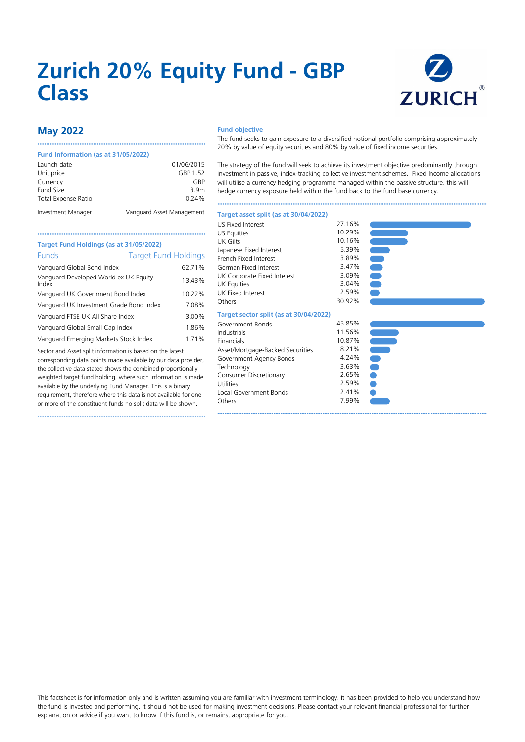# **Zurich 20% Equity Fund - GBP Class**



# **May 2022**

### **Fund Information (as at 31/05/2022)**

| 1 GHU 1111VHIIGUUN 1 GJ GU J 17 VJ/ZVZZ7 |                           |
|------------------------------------------|---------------------------|
| Launch date                              | 01/06/2015                |
| Unit price                               | GBP 1.52                  |
| Currency                                 | GRP                       |
| Fund Size                                | 3.9 <sub>m</sub>          |
| Total Expense Ratio                      | 0.24%                     |
| Investment Manager                       | Vanguard Asset Management |

••••••••••••••••••••••••••••••••••••••••••••••••••••••••••••••••••••••••••••••••••••••••••••••••

#### **Fund objective**

The fund seeks to gain exposure to a diversified notional portfolio comprising approximately 20% by value of equity securities and 80% by value of fixed income securities.

The strategy of the fund will seek to achieve its investment objective predominantly through investment in passive, index-tracking collective investment schemes. Fixed Income allocations will utilise a currency hedging programme managed within the passive structure, this will hedge currency exposure held within the fund back to the fund base currency.

••••••••••••••••••••••••••••••••••••••••••••••••••••••••••••••••••••••••••••••••••••••••••••••••••••••••••••••••••••••••••••••••••••••••••••••••••••••••••

3.63%  $2.65%$ 2.59%  $2.41%$ 7.99% ••••••••••••••••••••••••••••••••••••••••••••••••••••••••••••••••••••••••••••••••••••••••••••••••••••••••••••••••••••••••••••••••••••••••••••••••••••••••••

#### **Target asset split (as at 30/04/2022)**

| Target Fund Holdings (as at 31/05/2022)        |        |  |  |  |  |  |  |
|------------------------------------------------|--------|--|--|--|--|--|--|
| Funds<br><b>Target Fund Holdings</b>           |        |  |  |  |  |  |  |
| Vanguard Global Bond Index                     | 62.71% |  |  |  |  |  |  |
| Vanguard Developed World ex UK Equity<br>Index | 13.43% |  |  |  |  |  |  |
| Vanguard UK Government Bond Index              | 10.22% |  |  |  |  |  |  |
| Vanguard UK Investment Grade Bond Index        | 7.08%  |  |  |  |  |  |  |
| Vanguard FTSE UK All Share Index               | 3.00%  |  |  |  |  |  |  |
| Vanguard Global Small Cap Index                | 1.86%  |  |  |  |  |  |  |
| Vanguard Emerging Markets Stock Index          | 1.71%  |  |  |  |  |  |  |
|                                                |        |  |  |  |  |  |  |

Sector and Asset split information is based on the latest corresponding data points made available by our data provider, the collective data stated shows the combined proportionally weighted target fund holding, where such information is made available by the underlying Fund Manager. This is a binary requirement, therefore where this data is not available for one or more of the constituent funds no split data will be shown.

••••••••••••••••••••••••••••••••••••••••••••••••••••••••••••••••••••••••••••••••••••••••••••••••

| 10.29% |
|--------|
| 10.16% |
| 5.39%  |
| 3.89%  |
| 3.47%  |
| 3.09%  |
| 3.04%  |
| 2.59%  |
| 30.92% |
|        |
| 45.85% |
| 11.56% |
| 10.87% |
| 8.21%  |
| 4.24%  |
| 3.63%  |
| 2.65%  |
| 2.59%  |
| 2.41%  |
| 7.99%  |
|        |